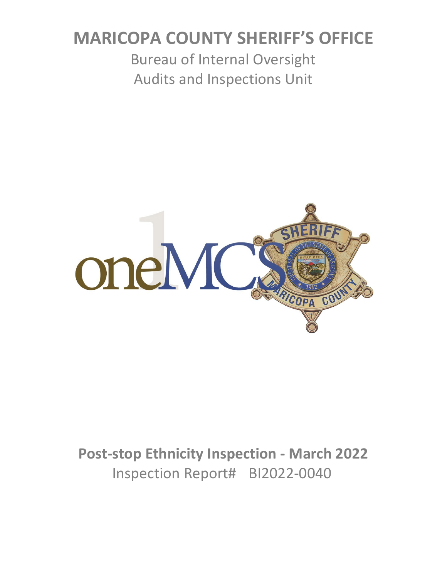# **MARICOPA COUNTY SHERIFF'S OFFICE**

Bureau of Internal Oversight Audits and Inspections Unit



**Post-stop Ethnicity Inspection - March 2022** Inspection Report# BI2022-0040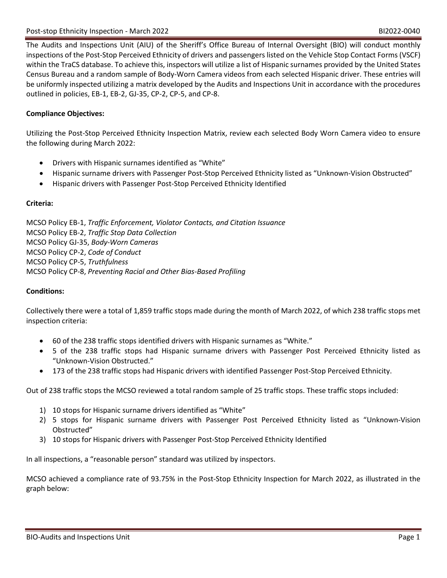The Audits and Inspections Unit (AIU) of the Sheriff's Office Bureau of Internal Oversight (BIO) will conduct monthly inspections of the Post-Stop Perceived Ethnicity of drivers and passengers listed on the Vehicle Stop Contact Forms (VSCF) within the TraCS database. To achieve this, inspectors will utilize a list of Hispanic surnames provided by the United States Census Bureau and a random sample of Body-Worn Camera videos from each selected Hispanic driver. These entries will be uniformly inspected utilizing a matrix developed by the Audits and Inspections Unit in accordance with the procedures outlined in policies, EB-1, EB-2, GJ-35, CP-2, CP-5, and CP-8.

## **Compliance Objectives:**

Utilizing the Post-Stop Perceived Ethnicity Inspection Matrix, review each selected Body Worn Camera video to ensure the following during March 2022:

- Drivers with Hispanic surnames identified as "White"
- Hispanic surname drivers with Passenger Post-Stop Perceived Ethnicity listed as "Unknown-Vision Obstructed"
- Hispanic drivers with Passenger Post-Stop Perceived Ethnicity Identified

## **Criteria:**

MCSO Policy EB-1, *Traffic Enforcement, Violator Contacts, and Citation Issuance* MCSO Policy EB-2, *Traffic Stop Data Collection* MCSO Policy GJ-35, *Body-Worn Cameras* MCSO Policy CP-2, *Code of Conduct* MCSO Policy CP-5, *Truthfulness* MCSO Policy CP-8, *Preventing Racial and Other Bias-Based Profiling*

## **Conditions:**

Collectively there were a total of 1,859 traffic stops made during the month of March 2022, of which 238 traffic stops met inspection criteria:

- 60 of the 238 traffic stops identified drivers with Hispanic surnames as "White."
- 5 of the 238 traffic stops had Hispanic surname drivers with Passenger Post Perceived Ethnicity listed as "Unknown-Vision Obstructed."
- 173 of the 238 traffic stops had Hispanic drivers with identified Passenger Post-Stop Perceived Ethnicity.

Out of 238 traffic stops the MCSO reviewed a total random sample of 25 traffic stops. These traffic stops included:

- 1) 10 stops for Hispanic surname drivers identified as "White"
- 2) 5 stops for Hispanic surname drivers with Passenger Post Perceived Ethnicity listed as "Unknown-Vision Obstructed"
- 3) 10 stops for Hispanic drivers with Passenger Post-Stop Perceived Ethnicity Identified

In all inspections, a "reasonable person" standard was utilized by inspectors.

MCSO achieved a compliance rate of 93.75% in the Post-Stop Ethnicity Inspection for March 2022, as illustrated in the graph below: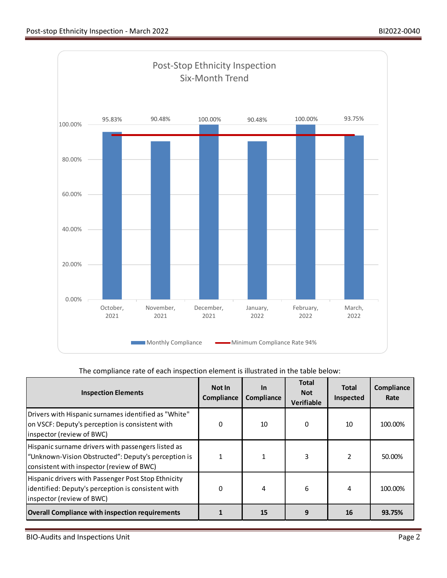

# The compliance rate of each inspection element is illustrated in the table below:

| <b>Inspection Elements</b>                                                                                                                             | Not In<br>Compliance | <b>In</b><br>Compliance | <b>Total</b><br><b>Not</b><br><b>Verifiable</b> | <b>Total</b><br>Inspected | Compliance<br>Rate |
|--------------------------------------------------------------------------------------------------------------------------------------------------------|----------------------|-------------------------|-------------------------------------------------|---------------------------|--------------------|
| Drivers with Hispanic surnames identified as "White"<br>on VSCF: Deputy's perception is consistent with<br>inspector (review of BWC)                   | 0                    | 10                      | 0                                               | 10                        | 100.00%            |
| Hispanic surname drivers with passengers listed as<br>"Unknown-Vision Obstructed": Deputy's perception is<br>consistent with inspector (review of BWC) |                      |                         | 3                                               | 2                         | 50.00%             |
| Hispanic drivers with Passenger Post Stop Ethnicity<br>identified: Deputy's perception is consistent with<br>inspector (review of BWC)                 | 0                    | 4                       | 6                                               | 4                         | 100.00%            |
| <b>Overall Compliance with inspection requirements</b>                                                                                                 |                      | 15                      | 9                                               | 16                        | 93.75%             |